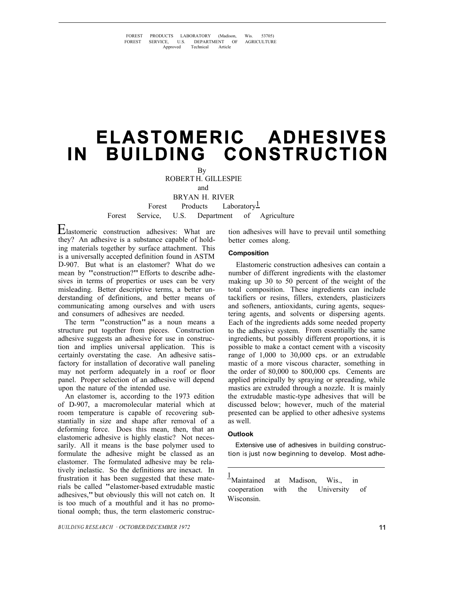FOREST PRODUCTS LABORATORY (Madison, Wis. 53705)<br>FOREST SERVICE. U.S. DEPARTMENT OF AGRICULTURE FOREST SERVICE, U.S. DEPARTMENT OF AGRICULTURE Approved Technical Article

# **ELASTOMERIC ADHESIVES IN BUILDING CONSTRUCTION**

By ROBERT H. GILLESPIE

BRYAN H. RIVER

Forest Products Laboratory $\frac{1}{2}$ Forest Service, U.S. Department of Agriculture

Elastomeric construction adhesives: What are they? An adhesive is a substance capable of holding materials together by surface attachment. This is a universally accepted definition found in ASTM D-907. But what is an elastomer? What do we mean by "construction?" Efforts to describe adhesives in terms of properties or uses can be very misleading. Better descriptive terms, a better understanding of definitions, and better means of communicating among ourselves and with users and consumers of adhesives are needed.

The term "construction" as a noun means a structure put together from pieces. Construction adhesive suggests an adhesive for use in construction and implies universal application. This is certainly overstating the case. An adhesive satisfactory for installation of decorative wall paneling may not perform adequately in a roof or floor panel. Proper selection of an adhesive will depend upon the nature of the intended use.

An elastomer is, according to the 1973 edition of D-907, a macromolecular material which at room temperature is capable of recovering substantially in size and shape after removal of a deforming force. Does this mean, then, that an elastomeric adhesive is highly elastic? Not necessarily. All it means is the base polymer used to formulate the adhesive might be classed as an elastomer. The formulated adhesive may be relatively inelastic. So the definitions are inexact. In frustration it has been suggested that these materials be called "elastomer-based extrudable mastic adhesives," but obviously this will not catch on. It is too much of a mouthful and it has no promotional oomph; thus, the term elastomeric construc-

*BUILDING RESEARCH · OCTOBER/DECEMBER 1972* 

tion adhesives will have to prevail until something better comes along.

## **Composition**

Elastomeric construction adhesives can contain a number of different ingredients with the elastomer making up 30 to 50 percent of the weight of the total composition. These ingredients can include tackifiers or resins, fillers, extenders, plasticizers and softeners, antioxidants, curing agents, sequestering agents, and solvents or dispersing agents. Each of the ingredients adds some needed property to the adhesive system. From essentially the same ingredients, but possibly different proportions, it is possible to make a contact cement with a viscosity range of 1,000 to 30,000 cps. or an extrudable mastic of a more viscous character, something in the order of 80,000 to 800,000 cps. Cements are applied principally by spraying or spreading, while mastics are extruded through a nozzle. It is mainly the extrudable mastic-type adhesives that will be discussed below; however, much of the material presented can be applied to other adhesive systems as well.

#### **Outlook**

Extensive use of adhesives in building construction is just now beginning to develop. Most adhe-

1<br>Maintained at Madison, Wis., in cooperation with the University of Wisconsin.

and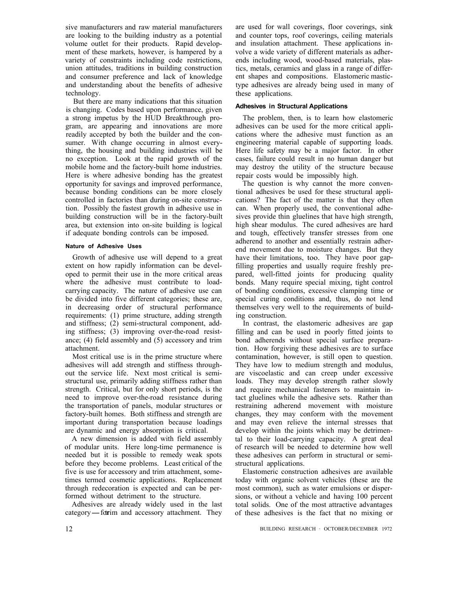sive manufacturers and raw material manufacturers are looking to the building industry as a potential volume outlet for their products. Rapid development of these markets, however, is hampered by a variety of constraints including code restrictions, union attitudes, traditions in building construction and consumer preference and lack of knowledge and understanding about the benefits of adhesive technology.

But there are many indications that this situation is changing. Codes based upon performance, given a strong impetus by the HUD Breakthrough program, are appearing and innovations are more readily accepted by both the builder and the consumer. With change occurring in almost everything, the housing and building industries will be no exception. Look at the rapid growth of the mobile home and the factory-built home industries. Here is where adhesive bonding has the greatest opportunity for savings and improved performance, because bonding conditions can be more closely controlled in factories than during on-site construction. Possibly the fastest growth in adhesive use in building construction will be in the factory-built area, but extension into on-site building is logical if adequate bonding controls can be imposed.

#### **Nature of Adhesive Uses**

Growth of adhesive use will depend to a great extent on how rapidly information can be developed to permit their use in the more critical areas where the adhesive must contribute to loadcarrying capacity. The nature of adhesive use can be divided into five different categories; these are, in decreasing order of structural performance requirements: (1) prime structure, adding strength and stiffness; (2) semi-structural component, adding stiffness; (3) improving over-the-road resistance; (4) field assembly and (5) accessory and trim attachment.

Most critical use is in the prime structure where adhesives will add strength and stiffness throughout the service life. Next most critical is semistructural use, primarily adding stiffness rather than strength. Critical, but for only short periods, is the need to improve over-the-road resistance during the transportation of panels, modular structures or factory-built homes. Both stiffness and strength are important during transportation because loadings are dynamic and energy absorption is critical.

A new dimension is added with field assembly of modular units. Here long-time permanence is needed but it is possible to remedy weak spots before they become problems. Least critical of the five is use for accessory and trim attachment, sometimes termed cosmetic applications. Replacement through redecoration is expected and can be performed without detriment to the structure.

Adhesives are already widely used in the last category-fortim and accessory attachment. They are used for wall coverings, floor coverings, sink and counter tops, roof coverings, ceiling materials and insulation attachment. These applications involve a wide variety of different materials as adherends including wood, wood-based materials, plastics, metals, ceramics and glass in a range of different shapes and compositions. Elastomeric mastictype adhesives are already being used in many of these applications.

# **Adhesives in Structural Applications**

The problem, then, is to learn how elastomeric adhesives can be used for the more critical applications where the adhesive must function as an engineering material capable of supporting loads. Here life safety may be a major factor. In other cases, failure could result in no human danger but may destroy the utility of the structure because repair costs would be impossibly high.

The question is why cannot the more conventional adhesives be used for these structural applications? The fact of the matter is that they often can. When properly used, the conventional adhesives provide thin gluelines that have high strength, high shear modulus. The cured adhesives are hard and tough, effectively transfer stresses from one adherend to another and essentially restrain adherend movement due to moisture changes. But they have their limitations, too. They have poor gapfilling properties and usually require freshly prepared, well-fitted joints for producing quality bonds. Many require special mixing, tight control of bonding conditions, excessive clamping time or special curing conditions and, thus, do not lend themselves very well to the requirements of building construction.

In contrast, the elastomeric adhesives are gap filling and can be used in poorly fitted joints to bond adherends without special surface preparation. How forgiving these adhesives are to surface contamination, however, is still open to question. They have low to medium strength and modulus, are viscoelastic and can creep under excessive loads. They may develop strength rather slowly and require mechanical fasteners to maintain intact gluelines while the adhesive sets. Rather than restraining adherend movement with moisture changes, they may conform with the movement and may even relieve the internal stresses that develop within the joints which may be detrimental to their load-carrying capacity. A great deal of research will be needed to determine how well these adhesives can perform in structural or semistructural applications.

Elastomeric construction adhesives are available today with organic solvent vehicles (these are the most common), such as water emulsions or dispersions, or without a vehicle and having 100 percent total solids. One of the most attractive advantages of these adhesives is the fact that no mixing or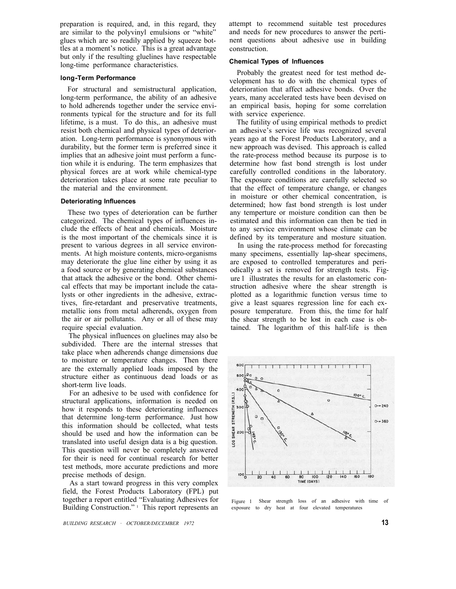preparation is required, and, in this regard, they are similar to the polyvinyl emulsions or "white" glues which are so readily applied by squeeze bottles at a moment's notice. This is a great advantage but only if the resulting gluelines have respectable long-time performance characteristics.

#### **long-Term Performance**

For structural and semistructural application, long-term performance, the ability of an adhesive to hold adherends together under the service environments typical for the structure and for its full lifetime, is a must. To do this,. an adhesive must resist both chemical and physical types of deterioration. Long-term performance is synonymous with durability, but the former term is preferred since it implies that an adhesive joint must perform a function while it is enduring. The term emphasizes that physical forces are at work while chemical-type deterioration takes place at some rate peculiar to the material and the environment.

# **Deteriorating Influences**

These two types of deterioration can be further categorized. The chemical types of influences include the effects of heat and chemicals. Moisture is the most important of the chemicals since it is present to various degrees in all service environments. At high moisture contents, micro-organisms may deteriorate the glue line either by using it as a food source or by generating chemical substances that attack the adhesive or the bond. Other chemical effects that may be important include the catalysts or other ingredients in the adhesive, extractives, fire-retardant and preservative treatments, metallic ions from metal adherends, oxygen from the air or air pollutants. Any or all of these may require special evaluation.

The physical influences on gluelines may also be subdivided. There are the internal stresses that take place when adherends change dimensions due to moisture or temperature changes. Then there are the externally applied loads imposed by the structure either as continuous dead loads or as short-term live loads.

For an adhesive to be used with confidence for structural applications, information is needed on how it responds to these deteriorating influences that determine long-term performance. Just how this information should be collected, what tests should be used and how the information can be translated into useful design data is a big question. This question will never be completely answered for their is need for continual research for better test methods, more accurate predictions and more precise methods of design.

As a start toward progress in this very complex field, the Forest Products Laboratory (FPL) put together a report entitled "Evaluating Adhesives for Building Construction." 1 This report represents an

attempt to recommend suitable test procedures and needs for new procedures to answer the pertinent questions about adhesive use in building construction.

#### **Chemical Types of Influences**

Probably the greatest need for test method development has to do with the chemical types of deterioration that affect adhesive bonds. Over the years, many accelerated tests have been devised on an empirical basis, hoping for some correlation with service experience.

The futility of using empirical methods to predict an adhesive's service life was recognized several years ago at the Forest Products Laboratory, and a new approach was devised. This approach is called the rate-process method because its purpose is to determine how fast bond strength is lost under carefully controlled conditions in the laboratory. The exposure conditions are carefully selected so that the effect of temperature change, or changes in moisture or other chemical concentration, is determined; how fast bond strength is lost under any temperture or moisture condition can then be estimated and this information can then be tied in to any service environment whose climate can be defined by its temperature and mosture situation.

In using the rate-process method for forecasting many specimens, essentially lap-shear specimens, are exposed to controlled temperatures and periodically a set is removed for strength tests. Figure 1 illustrates the results for an elastomeric construction adhesive where the shear strength is plotted as a logarithmic function versus time to give a least squares regression line for each exposure temperature. From this, the time for half the shear strength to be lost in each case is obtained. The logarithm of this half-life is then



Figure 1 Shear strength loss of an adhesive with time of exposure to dry heat at four elevated temperatures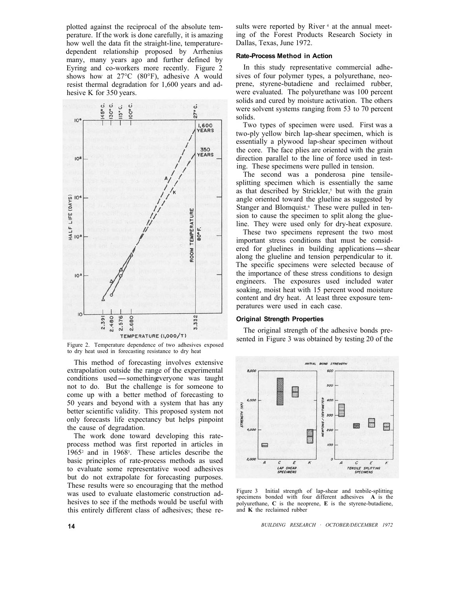plotted against the reciprocal of the absolute temperature. If the work is done carefully, it is amazing how well the data fit the straight-line, temperaturedependent relationship proposed by Arrhenius many, many years ago and further defined by Eyring and co-workers more recently. Figure 2 shows how at 27°C (80°F), adhesive A would resist thermal degradation for 1,600 years and adhesive K for 350 years.



Figure 2. Temperature dependence of two adhesives exposed to dry heat used in forecasting resistance to dry heat

This method of forecasting involves extensive extrapolation outside the range of the experimental This method of forecasting involves extensive<br>extrapolation outside the range of the experimental<br>conditions used—something veryone was taught not to do. But the challenge is for someone to come up with a better method of forecasting to 50 years and beyond with a system that has any better scientific validity. This proposed system not only forecasts life expectancy but helps pinpoint the cause of degradation.

The work done toward developing this rateprocess method was first reported in articles in 19652 and in 19683. These articles describe the basic principles of rate-process methods as used to evaluate some representative wood adhesives but do not extrapolate for forecasting purposes. These results were so encouraging that the method was used to evaluate elastomeric construction adhesives to see if the methods would be useful with this entirely different class of adhesives; these results were reported by River<sup>4</sup> at the annual meeting of the Forest Products Research Society in Dallas, Texas, June 1972.

#### **Rate-Process Method in Action**

In this study representative commercial adhesives of four polymer types, a polyurethane, neoprene, styrene-butadiene and reclaimed rubber, were evaluated. The polyurethane was 100 percent solids and cured by moisture activation. The others were solvent systems ranging from 53 to 70 percent solids.

Two types of specimen were used. First was a two-ply yellow birch lap-shear specimen, which is essentially a plywood lap-shear specimen without the core. The face plies are oriented with the grain direction parallel to the line of force used in testing. These specimens were pulled in tension.

The second was a ponderosa pine tensilesplitting specimen which is essentially the same as that described by Strickler, $5$  but with the grain angle oriented toward the glueline as suggested by Stanger and Blomquist.<sup>6</sup> These were pulled in tension to cause the specimen to split along the glueline. They were used only for dry-heat exposure.

These two specimens represent the two most important stress conditions that must be considered for gluelines in building applications-shear along the glueline and tension perpendicular to it. The specific specimens were selected because of the importance of these stress conditions to design engineers. The exposures used included water soaking, moist heat with 15 percent wood moisture content and dry heat. At least three exposure temperatures were used in each case.

#### **Original Strength Properties**

The original strength of the adhesive bonds presented in Figure 3 was obtained by testing 20 of the



Figure 3 Initial strength of lap-shear and tenbile-splitting specimens bonded with four different adhesives **A** is the polyurethane, **C** is the neoprene, **E** is the styrene-butadiene, and **K** the reclaimed rubber

*BUILDING RESEARCH · OCTOBER/DECEMBER 1972*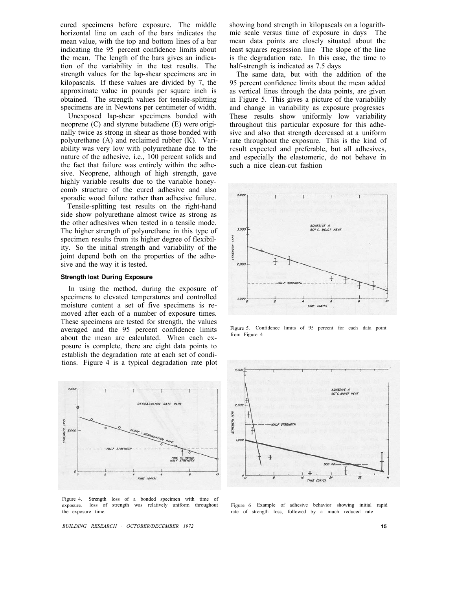cured specimens before exposure. The middle horizontal line on each of the bars indicates the mean value, with the top and bottom lines of a bar indicating the 95 percent confidence limits about the mean. The length of the bars gives an indication of the variability in the test results. The strength values for the lap-shear specimens are in kilopascals. If these values are divided by 7, the approximate value in pounds per square inch is obtained. The strength values for tensile-splitting specimens are in Newtons per centimeter of width.

Unexposed lap-shear specimens bonded with neoprene (C) and styrene butadiene (E) were originally twice as strong in shear as those bonded with polyurethane (A) and reclaimed rubber (K). Variability was very low with polyurethane due to the nature of the adhesive, i.e., 100 percent solids and the fact that failure was entirely within the adhesive. Neoprene, although of high strength, gave highly variable results due to the variable honeycomb structure of the cured adhesive and also sporadic wood failure rather than adhesive failure.

Tensile-splitting test results on the right-hand side show polyurethane almost twice as strong as the other adhesives when tested in a tensile mode. The higher strength of polyurethane in this type of specimen results from its higher degree of flexibility. So the initial strength and variability of the joint depend both on the properties of the adhesive and the way it is tested.

## **Strength lost During Exposure**

In using the method, during the exposure of specimens to elevated temperatures and controlled moisture content a set of five specimens is removed after each of a number of exposure times. These specimens are tested for strength, the values averaged and the 95 percent confidence limits about the mean are calculated. When each exposure is complete, there are eight data points to establish the degradation rate at each set of conditions. Figure 4 is a typical degradation rate plot



Figure 4. Strength loss of a bonded specimen with time of exposure. loss of strength was relatively uniform throughout the exposure time.

*BUILDING RESEARCH · OCTOBER/DECEMBER 1972* 

showing bond strength in kilopascals on a logarithmic scale versus time of exposure in days The mean data points are closely situated about the least squares regression line The slope of the line is the degradation rate. In this case, the time to half-strength is indicated as 7.5 days

The same data, but with the addition of the 95 percent confidence limits about the mean added as vertical lines through the data points, are given in Figure 5. This gives a picture of the variabilily and change in variability as exposure progresses These results show uniformly low variability throughout this particular exposure for this adhesive and also that strength decreased at a uniform rate throughout the exposure. This is the kind of result expected and preferable, but all adhesives, and especially the elastomeric, do not behave in such a nice clean-cut fashion



Figure 5. Confidence limits of 95 percent for each data point from Figure 4



Figure 6 Example of adhesive behavior showing initial rapid rate of strength loss, followed by a much reduced rate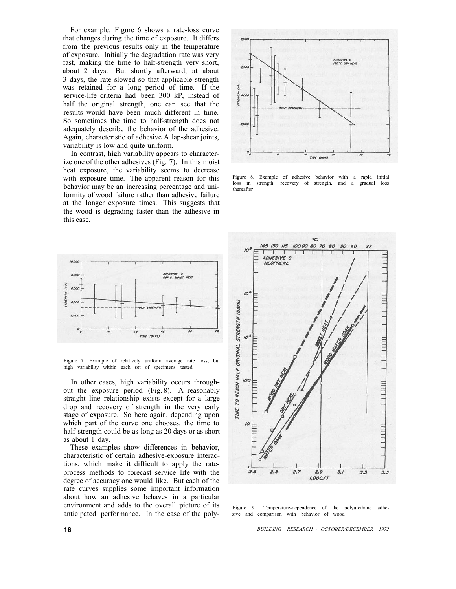For example, Figure 6 shows a rate-loss curve that changes during the time of exposure. It differs from the previous results only in the temperature of exposure. Initially the degradation rate was very fast, making the time to half-strength very short, about 2 days. But shortly afterward, at about 3 days, the rate slowed so that applicable strength was retained for a long period of time. If the service-life criteria had been 300 kP, instead of half the original strength, one can see that the results would have been much different in time. So sometimes the time to half-strength does not adequately describe the behavior of the adhesive. Again, characteristic of adhesive A lap-shear joints, variability is low and quite uniform.

In contrast, high variability appears to characterize one of the other adhesives (Fig. 7). In this moist heat exposure, the variability seems to decrease with exposure time. The apparent reason for this behavior may be an increasing percentage and uniformity of wood failure rather than adhesive failure at the longer exposure times. This suggests that the wood is degrading faster than the adhesive in this case.



Figure 7. Example of relatively uniform average rate loss, but high variability within each set of specimens tested

In other cases, high variability occurs throughout the exposure period (Fig. 8). A reasonably straight line relationship exists except for a large drop and recovery of strength in the very early stage of exposure. So here again, depending upon which part of the curve one chooses, the time to half-strength could be as long as 20 days or as short as about 1 day.

These examples show differences in behavior, characteristic of certain adhesive-exposure interactions, which make it difficult to apply the rateprocess methods to forecast service life with the degree of accuracy one would like. But each of the rate curves supplies some important information about how an adhesive behaves in a particular environment and adds to the overall picture of its anticipated performance. In the case of the poly-



Figure 8. Example of adhesive behavior with a rapid initial loss in strength, recovery of strength, and a gradual loss thereafter



Figure 9. Temperature-dependence of the polyurethane adhesive and comparison with behavior of wood

*BUILDING RESEARCH · OCTOBER/DECEMBER 1972*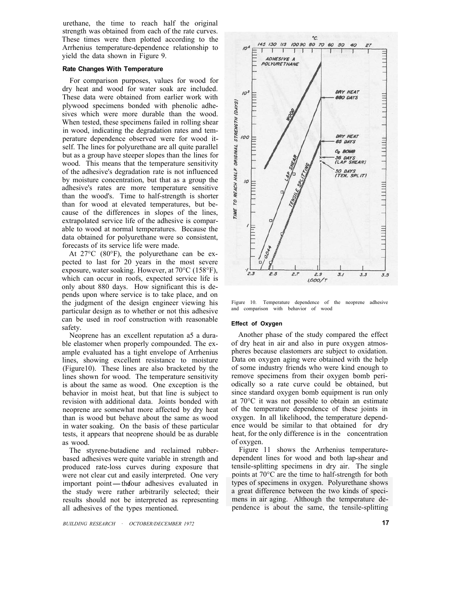urethane, the time to reach half the original strength was obtained from each of the rate curves. These times were then plotted according to the Arrhenius temperature-dependence relationship to yield the data shown in Figure 9.

## **Rate Changes With Temperature**

For comparison purposes, values for wood for dry heat and wood for water soak are included. These data were obtained from earlier work with plywood specimens bonded with phenolic adhesives which were more durable than the wood. When tested, these specimens failed in rolling shear in wood, indicating the degradation rates and temperature dependence observed were for wood itself. The lines for polyurethane are all quite parallel but as a group have steeper slopes than the lines for wood. This means that the temperature sensitivity of the adhesive's degradation rate is not influenced by moisture concentration, but that as a group the adhesive's rates are more temperature sensitive than the wood's. Time to half-strength is shorter than for wood at elevated temperatures, but because of the differences in slopes of the lines, extrapolated service life of the adhesive is comparable to wood at normal temperatures. Because the data obtained for polyurethane were so consistent, forecasts of its service life were made.

At 27°C (80°F), the polyurethane can be expected to last for 20 years in the most severe exposure, water soaking. However, at 70°C (158°F), which can occur in roofs, expected service life is only about 880 days. How significant this is depends upon where service is to take place, and on the judgment of the design engineer viewing his particular design as to whether or not this adhesive can be used in roof construction with reasonable safety.

Neoprene has an excellent reputation a5 a durable elastomer when properly compounded. The example evaluated has a tight envelope of Arrhenius lines, showing excellent resistance to moisture (Figure10). These lines are also bracketed by the lines shown for wood. The temperature sensitivity is about the same as wood. One exception is the behavior in moist heat, but that line is subject to revision with additional data. Joints bonded with neoprene are somewhat more affected by dry heat than is wood but behave about the same as wood in water soaking. On the basis of these particular tests, it appears that neoprene should be as durable as wood.

The styrene-butadiene and reclaimed rubberbased adhesives were quite variable in strength and produced rate-loss curves during exposure that were not clear cut and easily interpreted. One very important point—thefour adhesives evaluated in the study were rather arbitrarily selected; their results should not be interpreted as representing all adhesives of the types mentioned.



Figure 10. Temperature dependence of the neoprene adhesive and comparison with behavior of wood

#### **Effect of Oxygen**

Another phase of the study compared the effect of dry heat in air and also in pure oxygen atmospheres because elastomers are subject to oxidation. Data on oxygen aging were obtained with the help of some industry friends who were kind enough to remove specimens from their oxygen bomb periodically so a rate curve could be obtained, but since standard oxygen bomb equipment is run only at 70°C it was not possible to obtain an estimate of the temperature dependence of these joints in oxygen. In all likelihood, the temperature dependence would be similar to that obtained for dry heat, for the only difference is in the concentration of oxygen.

Figure 11 shows the Arrhenius temperaturedependent lines for wood and both lap-shear and tensile-splitting specimens in dry air. The single points at 70°C are the time to half-strength for both types of specimens in oxygen. Polyurethane shows a great difference between the two kinds of specimens in air aging. Although the temperature dependence is about the same, the tensile-splitting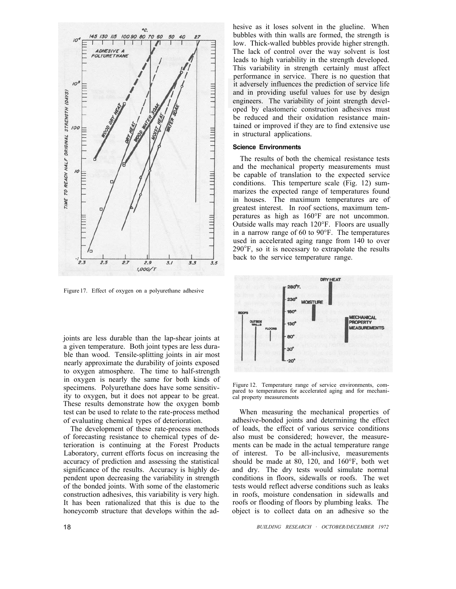

Figure 17. Effect of oxygen on a polyurethane adhesive

joints are less durable than the lap-shear joints at a given temperature. Both joint types are less durable than wood. Tensile-splitting joints in air most nearly approximate the durability of joints exposed to oxygen atmosphere. The time to half-strength in oxygen is nearly the same for both kinds of specimens. Polyurethane does have some sensitivity to oxygen, but it does not appear to be great. These results demonstrate how the oxygen bomb test can be used to relate to the rate-process method of evaluating chemical types of deterioration.

The development of these rate-process methods of forecasting resistance to chemical types of deterioration is continuing at the Forest Products Laboratory, current efforts focus on increasing the accuracy of prediction and assessing the statistical significance of the results. Accuracy is highly dependent upon decreasing the variability in strength of the bonded joints. With some of the elastomeric construction adhesives, this variability is very high. It has been rationalized that this is due to the honeycomb structure that develops within the adhesive as it loses solvent in the glueline. When bubbles with thin walls are formed, the strength is low. Thick-walled bubbles provide higher strength. The lack of control over the way solvent is lost leads to high variability in the strength developed. This variability in strength certainly must affect performance in service. There is no question that it adversely influences the prediction of service life and in providing useful values for use by design engineers. The variability of joint strength developed by elastomeric construction adhesives must be reduced and their oxidation resistance maintained or improved if they are to find extensive use in structural applications.

#### **Science Environments**

The results of both the chemical resistance tests and the mechanical property measurements must be capable of translation to the expected service conditions. This temperture scale (Fig. 12) summarizes the expected range of temperatures found in houses. The maximum temperatures are of greatest interest. In roof sections, maximum temperatures as high as 160°F are not uncommon. Outside walls may reach 120°F. Floors are usually in a narrow range of 60 to 90°F. The temperatures used in accelerated aging range from 140 to over 290°F, so it is necessary to extrapolate the results back to the service temperature range.



Figure 12. Temperature range of service environments, compared to temperatures for accelerated aging and for mechanical property measurements

When measuring the mechanical properties of adhesive-bonded joints and determining the effect of loads, the effect of various service conditions also must be considered; however, the measurements can be made in the actual temperature range of interest. To be all-inclusive, measurements should be made at 80, 120, and 160°F, both wet and dry. The dry tests would simulate normal conditions in floors, sidewalls or roofs. The wet tests would reflect adverse conditions such as leaks in roofs, moisture condensation in sidewalls and roofs or flooding of floors by plumbing leaks. The object is to collect data on an adhesive so the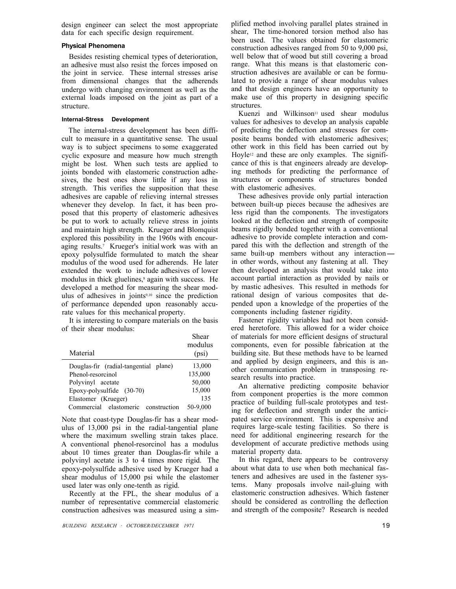design engineer can select the most appropriate data for each specific design requirement.

# **Physical Phenomena**

Besides resisting chemical types of deterioration, an adhesive must also resist the forces imposed on the joint in service. These internal stresses arise from dimensional changes that the adherends undergo with changing environment as well as the external loads imposed on the joint as part of a structure.

#### **Internal-Stress Development**

The internal-stress development has been difficult to measure in a quantitative sense. The usual way is to subject specimens to some exaggerated cyclic exposure and measure how much strength might be lost. When such tests are applied to joints bonded with elastomeric construction adhesives, the best ones show little if any loss in strength. This verifies the supposition that these adhesives are capable of relieving internal stresses whenever they develop. In fact, it has been proposed that this property of elastomeric adhesives be put to work to actually relieve stress in joints and maintain high strength. Krueger and Blomquist explored this possibility in the 1960s with encouraging results.7 Krueger's initial work was with an epoxy polysulfide formulated to match the shear modulus of the wood used for adherends. He later extended the work to include adhesives of lower modulus in thick gluelines,<sup>8</sup> again with success. He developed a method for measuring the shear modulus of adhesives in joints $9,10$  since the prediction of performance depended upon reasonably accurate values for this mechanical property.

It is interesting to compare materials on the basis of their shear modulus:

Shear

| Material                                  | .<br>modulus<br>(psi) |
|-------------------------------------------|-----------------------|
| Douglas-fir (radial-tangential plane)     | 13,000                |
| Phenol-resorcinol                         | 135,000               |
| Polyvinyl acetate                         | 50,000                |
| Epoxy-polysulfide (30-70)                 | 15,000                |
| Elastomer (Krueger)                       | 135                   |
| elastomeric<br>Commercial<br>construction | 50-9,000              |

Note that coast-type Douglas-fir has a shear modulus of 13,000 psi in the radial-tangential plane where the maximum swelling strain takes place. A conventional phenol-resorcinol has a modulus about 10 times greater than Douglas-fir while a polyvinyl acetate is 3 to 4 times more rigid. The epoxy-polysulfide adhesive used by Krueger had a shear modulus of 15,000 psi while the elastomer used later was only one-tenth as rigid.

Recently at the FPL, the shear modulus of a number of representative commercial elastomeric construction adhesives was measured using a simplified method involving parallel plates strained in shear, The time-honored torsion method also has been used. The values obtained for elastomeric range. What this means is that elastomeric conconstruction adhesives ranged from 50 to 9,000 psi, well below that of wood but still covering a broad struction adhesives are available or can be formulated to provide a range of shear modulus values and that design engineers have an opportunity to make use of this property in designing specific structures.

Kuenzi and Wilkinson<sup>11</sup> used shear modulus values for adhesives to develop an analysis capable of predicting the deflection and stresses for composite beams bonded with elastomeric adhesives; other work in this field has been carried out by Hoyle<sup>12</sup> and these are only examples. The significance of this is that engineers already are developing methods for predicting the performance of structures or components of structures bonded with elastomeric adhesives.

These adhesives provide only partial interaction between built-up pieces because the adhesives are less rigid than the components. The investigators looked at the deflection and strength of composite beams rigidly bonded together with a conventional adhesive to provide complete interaction and compared this with the deflection and strength of the same built-up members without any interactionin other words, without any fastening at all. They then developed an analysis that would take into account partial interaction as provided by nails or by mastic adhesives. This resulted in methods for rational design of various composites that depended upon a knowledge of the properties of the components including fastener rigidity.

Fastener rigidity variables had not been considered heretofore. This allowed for a wider choice of materials for more efficient designs of structural components, even for possible fabrication at the building site. But these methods have to be learned and applied by design engineers, and this is another communication problem in transposing research results into practice.

An alternative predicting composite behavior from component properties is the more common practice of building full-scale prototypes and testing for deflection and strength under the anticipated service environment. This is expensive and requires large-scale testing facilities. So there is need for additional engineering research for the development of accurate predictive methods using material property data.

In this regard, there appears to be controversy about what data to use when both mechanical fasteners and adhesives are used in the fastener systems. Many proposals involve nail-gluing with elastomeric construction adhesives. Which fastener should be considered as controlling the deflection and strength of the composite? Research is needed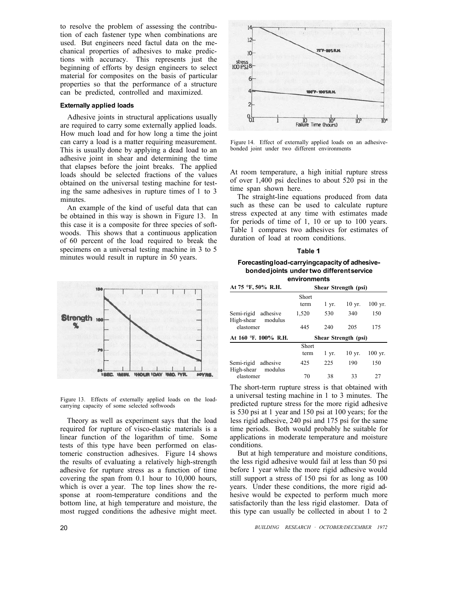to resolve the problem of assessing the contribution of each fastener type when combinations are used. But engineers need factul data on the mechanical properties of adhesives to make predictions with accuracy. This represents just the beginning of efforts by design engineers to select material for composites on the basis of particular properties so that the performance of a structure can be predicted, controlled and maximized.

## **Externally applied loads**

Adhesive joints in structural applications usually are required to carry some externally applied loads. How much load and for how long a time the joint can carry a load is a matter requiring measurement. This is usually done by applying a dead load to an adhesive joint in shear and determining the time that elapses before the joint breaks. The applied loads should be selected fractions of the values obtained on the universal testing machine for testing the same adhesives in rupture times of 1 to 3 minutes.

An example of the kind of useful data that can be obtained in this way is shown in Figure 13. In this case it is a composite for three species of softwoods. This shows that a continuous application of 60 percent of the load required to break the specimens on a universal testing machine in 3 to 5 minutes would result in rupture in 50 years.



Figure 13. Effects of externally applied loads on the loadcarrying capacity of some selected softwoods

Theory as well as experiment says that the load required for rupture of visco-elastic materials is a linear function of the logarithm of time. Some tests of this type have been performed on elastomeric construction adhesives. Figure 14 shows the results of evaluating a relatively high-strength adhesive for rupture stress as a function of time covering the span from 0.1 hour to 10,000 hours, which is over a year. The top lines show the response at room-temperature conditions and the bottom line, at high temperature and moisture, the most rugged conditions the adhesive might meet.



Figure 14. Effect of externally applied loads on an adhesivebonded joint under two different environments

At room temperature, a high initial rupture stress of over 1,400 psi declines to about 520 psi in the time span shown here.

The straight-line equations produced from data such as these can be used to calculate rupture stress expected at any time with estimates made for periods of time of 1, 10 or up to 100 years. Table 1 compares two adhesives for estimates of duration of load at room conditions.

#### **Table 1**

#### **Forecastingload-carryingcapacity of adhesivebondedjoints under two different service environments**

| At 75 °F, 50% R.H.                        | Shear Strength (psi) |                    |                   |           |
|-------------------------------------------|----------------------|--------------------|-------------------|-----------|
|                                           | Short<br>term        | $1 \, yr.$         | $10 \text{ yr}$ . | $100$ yr. |
| Semi-rigid adhesive<br>High-shear modulus | 1,520                | 530                | 340               | 150       |
| elastomer                                 | 445                  | 240                | 205               | 175       |
| At 160 °F. 100% R.H.                      | Shear Strength (psi) |                    |                   |           |
|                                           | Short                |                    |                   |           |
|                                           | term                 | $1 \, \text{yr}$ . | $10 \text{ yr}$ . | $100$ yr. |
| Semi-rigid adhesive<br>High-shear modulus | 425                  | 225                | 190               | 150       |
| elastomer                                 | 70                   | 38                 | 33                | 27        |

The short-term rupture stress is that obtained with a universal testing machine in 1 to 3 minutes. The predicted rupture stress for the more rigid adhesive is 530 psi at 1 year and 150 psi at 100 years; for the less rigid adhesive, 240 psi and 175 psi for the same time periods. Both would probably he suitable for applications in moderate temperature and moisture conditions.

But at high temperature and moisture conditions, the less rigid adhesive would fail at less than 50 psi before 1 year while the more rigid adhesive would still support a stress of 150 psi for as long as 100 years. Under these conditions, the more rigid adhesive would be expected to perform much more satisfactorily than the less rigid elastomer. Data of this type can usually be collected in about 1 to 2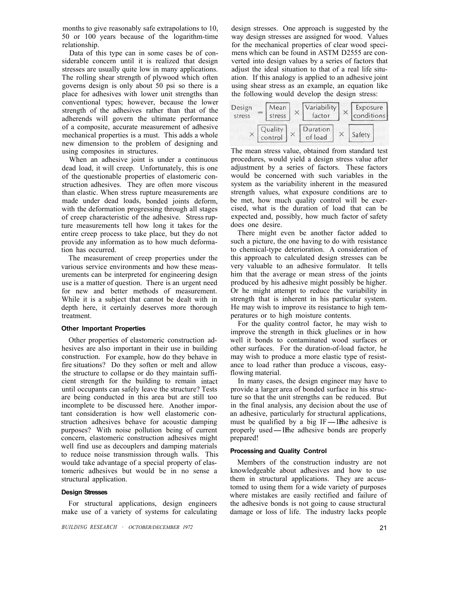months to give reasonably safe extrapolations to 10, 50 or 100 years because of the logarithm-time relationship.

Data of this type can in some cases be of considerable concern until it is realized that design stresses are usually quite low in many applications. The rolling shear strength of plywood which often governs design is only about 50 psi so there is a place for adhesives with lower unit strengths than conventional types; however, because the lower strength of the adhesives rather than that of the adherends will govern the ultimate performance of a composite, accurate measurement of adhesive mechanical properties is a must. This adds a whole new dimension to the problem of designing and using composites in structures.

When an adhesive joint is under a continuous dead load, it will creep. Unfortunately, this is one of the questionable properties of elastomeric construction adhesives. They are often more viscous than elastic. When stress rupture measurements are made under dead loads, bonded joints deform, with the deformation progressing through all stages of creep characteristic of the adhesive. Stress rupture measurements tell how long it takes for the entire creep process to take place, but they do not provide any information as to how much deformation has occurred.

The measurement of creep properties under the various service environments and how these measurements can be interpreted for engineering design use is a matter of question. There is an urgent need for new and better methods of measurement. While it is a subject that cannot be dealt with in depth here, it certainly deserves more thorough treatment.

#### **Other Important Properties**

Other properties of elastomeric construction adhesives are also important in their use in building construction. For example, how do they behave in fire situations? Do they soften or melt and allow the structure to collapse or do they maintain sufficient strength for the building to remain intact until occupants can safely leave the structure? Tests are being conducted in this area but are still too incomplete to be discussed here. Another important consideration is how well elastomeric construction adhesives behave for acoustic damping purposes? With noise pollution being of current concern, elastomeric construction adhesives might well find use as decouplers and damping materials to reduce noise transmission through walls. This would take advantage of a special property of elastomeric adhesives but would be in no sense a structural application.

#### **Design Stresses**

For structural applications, design engineers make use of a variety of systems for calculating design stresses. One approach is suggested by the way design stresses are assigned for wood. Values for the mechanical properties of clear wood specimens which can be found in ASTM D2555 are converted into design values by a series of factors that adjust the ideal situation to that of a real life situation. If this analogy is applied to an adhesive joint using shear stress as an example, an equation like the following would develop the design stress:



The mean stress value, obtained from standard test procedures, would yield a design stress value after adjustment by a series of factors. These factors would be concerned with such variables in the system as the variability inherent in the measured strength values, what exposure conditions are to be met, how much quality control will be exercised, what is the duration of load that can be expected and, possibly, how much factor of safety does one desire.

There might even be another factor added to such a picture, the one having to do with resistance to chemical-type deterioration. A consideration of this approach to calculated design stresses can be very valuable to an adhesive formulator. It tells him that the average or mean stress of the joints produced by his adhesive might possibly be higher. Or he might attempt to reduce the variability in strength that is inherent in his particular system. He may wish to improve its resistance to high temperatures or to high moisture contents.

For the quality control factor, he may wish to improve the strength in thick gluelines or in how well it bonds to contaminated wood surfaces or other surfaces. For the duration-of-load factor, he may wish to produce a more elastic type of resistance to load rather than produce a viscous, easyflowing material.

In many cases, the design engineer may have to provide a larger area of bonded surface in his structure so that the unit strengths can be reduced. But in the final analysis, any decision about the use of an adhesive, particularly for structural applications, must be qualified by a big IF—IF adhesive is negative. an adhesive, particularly for structural applications, must be qualified by a big IF—Ifthe adhesive is properly used—Ifthe adhesive bonds are properly prepared!

#### **Processing and Quality Control**

Members of the construction industry are not knowledgeable about adhesives and how to use them in structural applications. They are accustomed to using them for a wide variety of purposes where mistakes are easily rectified and failure of the adhesive bonds is not going to cause structural damage or loss of life. The industry lacks people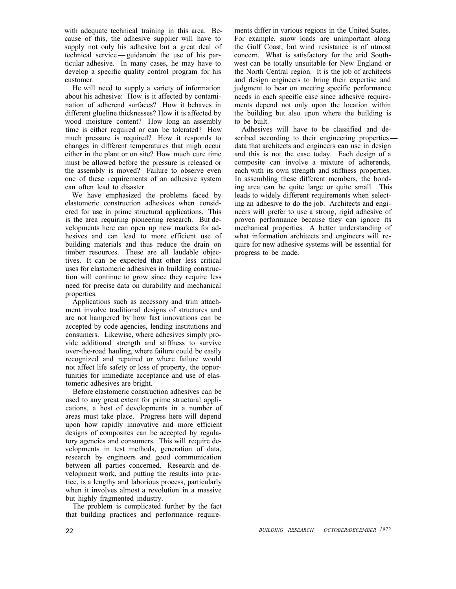with adequate technical training in this area. Because of this, the adhesive supplier will have to supply not only his adhesive but a great deal of technical service-guidancen the use of his particular adhesive. In many cases, he may have to develop a specific quality control program for his customer.

He will need to supply a variety of information about his adhesive: How is it affected by contamination of adherend surfaces? How it behaves in different glueline thicknesses? How it is affected by wood moisture content? How long an assembly time is either required or can be tolerated? How much pressure is required? How it responds to changes in different temperatures that migh occur either in the plant or on site? How much cure time must be allowed before the pressure is released or the assembly is moved? Failure to observe even one of these requirements of an adhesive system can often lead to disaster.

We have emphasized the problems faced by elastomeric construction adhesives when considered for use in prime structural applications. This is the area requiring pioneering research. But developments here can open up new markets for adhesives and can lead to more efficient use of building materials and thus reduce the drain on timber resources. These are all laudable objectives. It can be expected that other less critical uses for elastomeric adhesives in building construction will continue to grow since they require less need for precise data on durability and mechanical properties.

Applications such as accessory and trim attachment involve traditional designs of structures and are not hampered by how fast innovations can be accepted by code agencies, lending institutions and consumers. Likewise, where adhesives simply provide additional strength and stiffness to survive over-the-road hauling, where failure could be easily recognized and repaired or where failure would not affect life safety or loss of property, the opportunities for immediate acceptance and use of elastomeric adhesives are bright.

Before elastomeric construction adhesives can be used to any great extent for prime structural applications, a host of developments in a number of areas must take place. Progress here will depend upon how rapidly innovative and more efficient designs of composites can be accepted by regulatory agencies and consumers. This will require developments in test methods, generation of data, research by engineers and good communication between all parties concerned. Research and development work, and putting the results into practice, is a lengthy and laborious process, particularly when it involves almost a revolution in a massive but highly fragmented industry.

The problem is complicated further by the fact that building practices and performance requirements differ in various regions in the United States. For example, snow loads are unimportant along the Gulf Coast, but wind resistance is of utmost concern. What is satisfactory for the arid Southwest can be totally unsuitable for New England or the North Central region. It is the job of architects and design engineers to bring their expertise and judgment to bear on meeting specific performance needs in each specific case since adhesive requirements depend not only upon the location within the building but also upon where the building is to be built.

Adhesives will have to be classified and described according to their engineering propertiesdata that architects and engineers can use in design and this is not the case today. Each design of a composite can involve a mixture of adherends, each with its own strength and stiffness properties. In assembling these different members, the bonding area can be quite large or quite small. This leads to widely different requirements when selecting an adhesive to do the job. Architects and engineers will prefer to use a strong, rigid adhesive of proven performance because they can ignore its mechanical properties. A better understanding of what information architects and engineers will require for new adhesive systems will be essential for progress to be made.